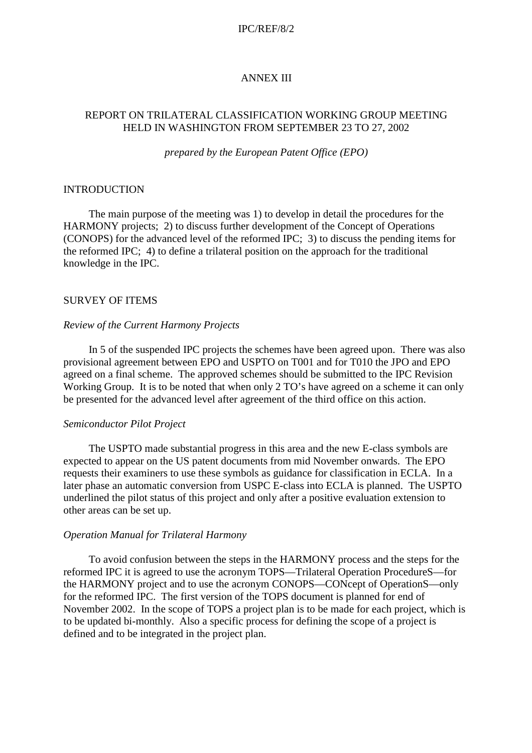#### IPC/REF/8/2

## ANNEX III

## REPORT ON TRILATERAL CLASSIFICATION WORKING GROUP MEETING HELD IN WASHINGTON FROM SEPTEMBER 23 TO 27, 2002

*prepared by the European Patent Office (EPO)*

### **INTRODUCTION**

The main purpose of the meeting was 1) to develop in detail the procedures for the HARMONY projects; 2) to discuss further development of the Concept of Operations (CONOPS) for the advanced level of the reformed IPC; 3) to discuss the pending items for the reformed IPC; 4) to define a trilateral position on the approach for the traditional knowledge in the IPC.

## SURVEY OF ITEMS

#### *Review of the Current Harmony Projects*

In 5 of the suspended IPC projects the schemes have been agreed upon. There was also provisional agreement between EPO and USPTO on T001 and for T010 the JPO and EPO agreed on a final scheme. The approved schemes should be submitted to the IPC Revision Working Group. It is to be noted that when only 2 TO's have agreed on a scheme it can only be presented for the advanced level after agreement of the third office on this action.

### *Semiconductor Pilot Project*

The USPTO made substantial progress in this area and the new E-class symbols are expected to appear on the US patent documents from mid November onwards. The EPO requests their examiners to use these symbols as guidance for classification in ECLA. In a later phase an automatic conversion from USPC E-class into ECLA is planned. The USPTO underlined the pilot status of this project and only after a positive evaluation extension to other areas can be set up.

### *Operation Manual for Trilateral Harmony*

To avoid confusion between the steps in the HARMONY process and the steps for the reformed IPC it is agreed to use the acronym TOPS—Trilateral Operation ProcedureS—for the HARMONY project and to use the acronym CONOPS—CONcept of OperationS—only for the reformed IPC. The first version of the TOPS document is planned for end of November 2002. In the scope of TOPS a project plan is to be made for each project, which is to be updated bi-monthly. Also a specific process for defining the scope of a project is defined and to be integrated in the project plan.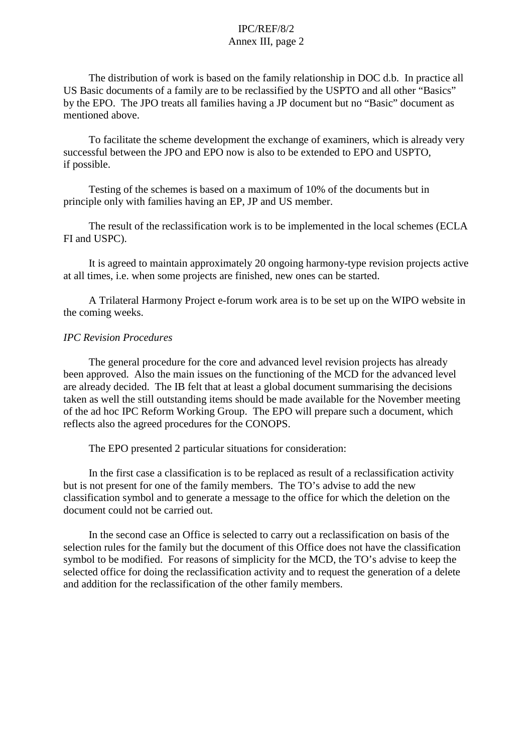## IPC/REF/8/2 Annex III, page 2

The distribution of work is based on the family relationship in DOC d.b. In practice all US Basic documents of a family are to be reclassified by the USPTO and all other "Basics" by the EPO. The JPO treats all families having a JP document but no "Basic" document as mentioned above.

To facilitate the scheme development the exchange of examiners, which is already very successful between the JPO and EPO now is also to be extended to EPO and USPTO, if possible.

Testing of the schemes is based on a maximum of 10% of the documents but in principle only with families having an EP, JP and US member.

The result of the reclassification work is to be implemented in the local schemes (ECLA FI and USPC).

It is agreed to maintain approximately 20 ongoing harmony-type revision projects active at all times, i.e. when some projects are finished, new ones can be started.

A Trilateral Harmony Project e-forum work area is to be set up on the WIPO website in the coming weeks.

## *IPC Revision Procedures*

The general procedure for the core and advanced level revision projects has already been approved. Also the main issues on the functioning of the MCD for the advanced level are already decided. The IB felt that at least a global document summarising the decisions taken as well the still outstanding items should be made available for the November meeting of the ad hoc IPC Reform Working Group. The EPO will prepare such a document, which reflects also the agreed procedures for the CONOPS.

The EPO presented 2 particular situations for consideration:

In the first case a classification is to be replaced as result of a reclassification activity but is not present for one of the family members. The TO's advise to add the new classification symbol and to generate a message to the office for which the deletion on the document could not be carried out.

In the second case an Office is selected to carry out a reclassification on basis of the selection rules for the family but the document of this Office does not have the classification symbol to be modified. For reasons of simplicity for the MCD, the TO's advise to keep the selected office for doing the reclassification activity and to request the generation of a delete and addition for the reclassification of the other family members.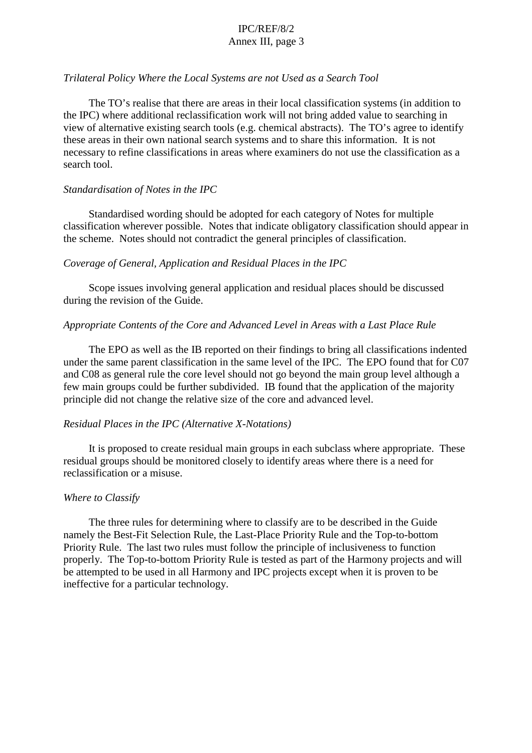# IPC/REF/8/2 Annex III, page 3

### *Trilateral Policy Where the Local Systems are not Used as a Search Tool*

The TO's realise that there are areas in their local classification systems (in addition to the IPC) where additional reclassification work will not bring added value to searching in view of alternative existing search tools (e.g. chemical abstracts). The TO's agree to identify these areas in their own national search systems and to share this information. It is not necessary to refine classifications in areas where examiners do not use the classification as a search tool.

### *Standardisation of Notes in the IPC*

Standardised wording should be adopted for each category of Notes for multiple classification wherever possible. Notes that indicate obligatory classification should appear in the scheme. Notes should not contradict the general principles of classification.

### *Coverage of General, Application and Residual Places in the IPC*

Scope issues involving general application and residual places should be discussed during the revision of the Guide.

### *Appropriate Contents of the Core and Advanced Level in Areas with a Last Place Rule*

The EPO as well as the IB reported on their findings to bring all classifications indented under the same parent classification in the same level of the IPC. The EPO found that for C07 and C08 as general rule the core level should not go beyond the main group level although a few main groups could be further subdivided. IB found that the application of the majority principle did not change the relative size of the core and advanced level.

### *Residual Places in the IPC (Alternative X-Notations)*

It is proposed to create residual main groups in each subclass where appropriate. These residual groups should be monitored closely to identify areas where there is a need for reclassification or a misuse.

### *Where to Classify*

The three rules for determining where to classify are to be described in the Guide namely the Best-Fit Selection Rule, the Last-Place Priority Rule and the Top-to-bottom Priority Rule. The last two rules must follow the principle of inclusiveness to function properly. The Top-to-bottom Priority Rule is tested as part of the Harmony projects and will be attempted to be used in all Harmony and IPC projects except when it is proven to be ineffective for a particular technology.